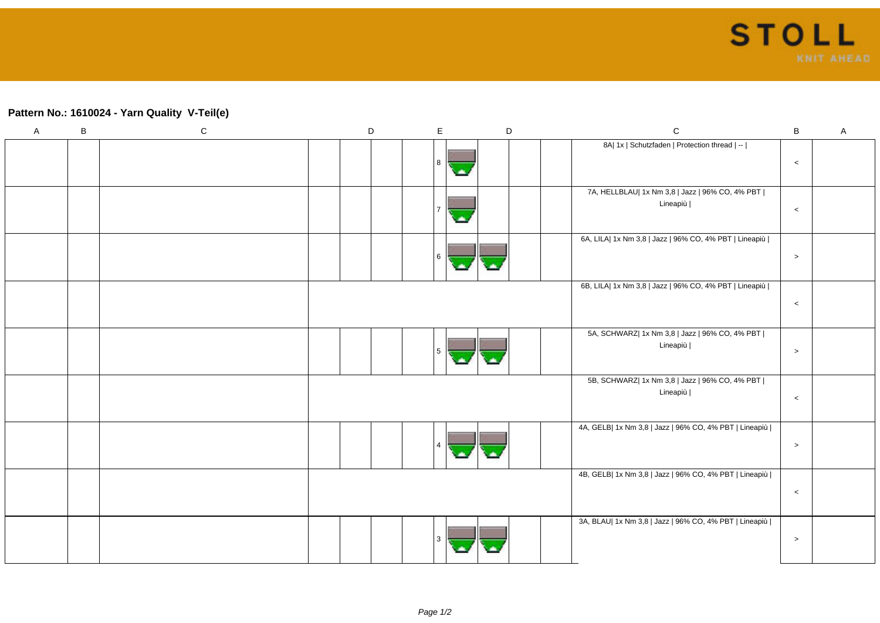## **Pattern No.: 1610024 - Yarn Quality V-Teil(e)**

| $\mathsf A$ | $\, {\sf B}$ | ${\bf C}$ | $\mathsf D$ | $\mathsf E$ | $\mathsf D$ | ${\bf C}$                                                     | $\sf B$   | $\boldsymbol{\mathsf{A}}$ |
|-------------|--------------|-----------|-------------|-------------|-------------|---------------------------------------------------------------|-----------|---------------------------|
|             |              |           |             | 8           |             | 8A  1x   Schutzfaden   Protection thread   --                 | $\,<$     |                           |
|             |              |           |             |             |             | 7A, HELLBLAU  1x Nm 3,8   Jazz   96% CO, 4% PBT  <br>Lineapiù | $\,<$     |                           |
|             |              |           |             | 6           |             | 6A, LILA  1x Nm 3,8   Jazz   96% CO, 4% PBT   Lineapiù        | $\, > \,$ |                           |
|             |              |           |             |             |             | 6B, LILA  1x Nm 3,8   Jazz   96% CO, 4% PBT   Lineapiù        | $\,<$     |                           |
|             |              |           |             | 5           |             | 5A, SCHWARZ  1x Nm 3,8   Jazz   96% CO, 4% PBT  <br>Lineapiù  | $\, > \,$ |                           |
|             |              |           |             |             |             | 5B, SCHWARZ  1x Nm 3,8   Jazz   96% CO, 4% PBT  <br>Lineapiù  | $\,<$     |                           |
|             |              |           |             |             |             | 4A, GELB  1x Nm 3,8   Jazz   96% CO, 4% PBT   Lineapiù        | $\,>$     |                           |
|             |              |           |             |             |             | 4B, GELB  1x Nm 3,8   Jazz   96% CO, 4% PBT   Lineapiù        | $\,<$     |                           |
|             |              |           |             |             |             | 3A, BLAU  1x Nm 3,8   Jazz   96% CO, 4% PBT   Lineapiù        | $\,>$     |                           |